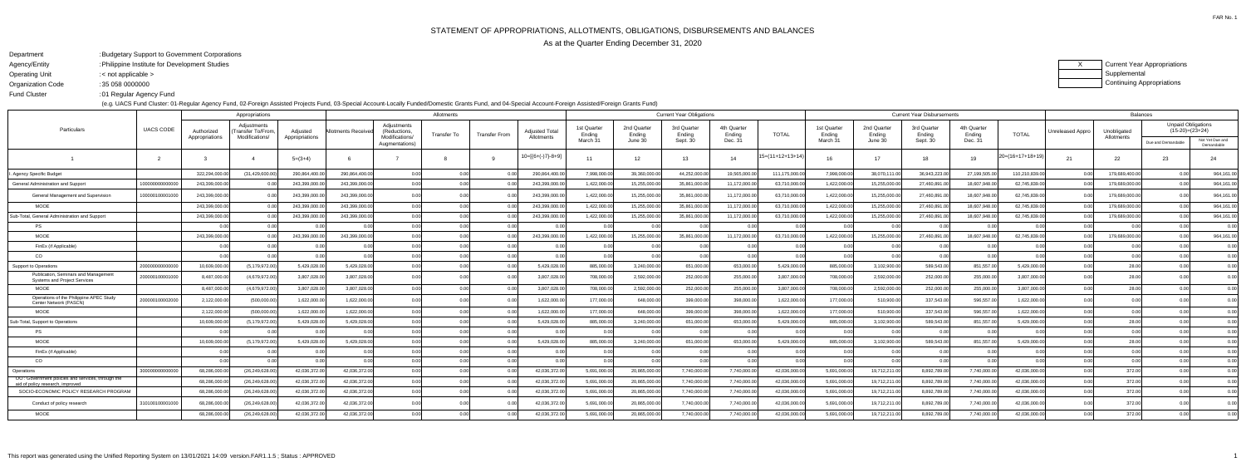FAR No. 1

Fund Cluster

## DepartmentBudgetary Support to Government Corporations:

- Agency/EntityPhilippine Institute for Development Studies:
- Operating Unit< not applicable >:

 Organization Code35 058 0000000:

01 Regular Agency Fund:

(e.g. UACS Fund Cluster: 01-Regular Agency Fund, 02-Foreign Assisted Projects Fund, 03-Special Account-Locally Funded/Domestic Grants Fund, and 04-Special Account-Foreign Assisted/Foreign Grants Fund)

| Current Year Appropriations |
|-----------------------------|
| Supplemental                |
| Continuing Appropriations   |

|                                                                                       |                  | Appropriations               |                                                    |                            | Allotments         |                                              |             |                |                                     |                       | <b>Current Year Obligations</b> |                       |                       |                    |                       | <b>Current Year Disbursements</b> |                       |                       |                    |                  |                           | <b>Balances</b>                                |                               |  |  |
|---------------------------------------------------------------------------------------|------------------|------------------------------|----------------------------------------------------|----------------------------|--------------------|----------------------------------------------|-------------|----------------|-------------------------------------|-----------------------|---------------------------------|-----------------------|-----------------------|--------------------|-----------------------|-----------------------------------|-----------------------|-----------------------|--------------------|------------------|---------------------------|------------------------------------------------|-------------------------------|--|--|
| Particulars                                                                           | <b>UACS CODE</b> | Authorized<br>Appropriations | Adiustments<br>Transfer To/From.<br>Modifications/ | Adjusted<br>Appropriations | ∖llotments Receive | Adjustments<br>(Reductions<br>Modifications/ | Transfer To | Transfer From  | <b>Adjusted Total</b><br>Allotments | 1st Quarter<br>Ending | 2nd Quarter<br>Ending           | 3rd Quarter<br>Ending | 4th Quarter<br>Ending | <b>TOTAL</b>       | 1st Quarter<br>Ending | 2nd Quarter<br>Ending             | 3rd Quarter<br>Ending | 4th Quarter<br>Ending | <b>TOTAL</b>       | Unreleased Appro | Unobligated<br>Allotments | <b>Unpaid Obligations</b><br>$(15-20)=(23+24)$ |                               |  |  |
|                                                                                       |                  |                              |                                                    |                            |                    | Augmentations)                               |             |                |                                     | March 31              | June 30                         | Sept. 30              | Dec. 31               |                    | March 31              | June 30                           | Sept. 30              | Dec. 31               |                    |                  |                           | Due and Demandable                             | Not Yet Due and<br>Demandable |  |  |
|                                                                                       |                  |                              |                                                    | $5=(3+4)$                  |                    |                                              |             |                | 10=[{6+(-)7}-8+9]                   | 11                    | 12                              | 13                    | 14                    | $15=(11+12+13+14)$ | 16                    | 17                                | 18                    | 19                    | $20=(16+17+18+19)$ | 21               | 22                        | 23                                             | 24                            |  |  |
| Agency Specific Budget                                                                |                  | 322,294,000.00               | (31, 429, 600.00)                                  | 290,864,400.00             | 290,864,400.0      | 0.00                                         | 0.00        | 0 <sub>0</sub> | 290,864,400.00                      | 7,998,000.00          | 39,360,000.00                   | 44,252,000.00         | 19,565,000.0          | 111,175,000.0      | 7,998,000.0           | 38,070,111.00                     | 36,943,223.00         | 27,199,505.0          | 110,210,839.00     | 0.00             | 179,689,400.00            | 0.00                                           | 964,161.00                    |  |  |
| General Administration and Support                                                    | 1000000000000    | 243,399,000.0                |                                                    | 243,399,000.0              | 243,399,000.0      | 0.00                                         | 0.00        |                | 243,399,000.00                      | 1,422,000.00          | 15,255,000.0                    | 35,861,000.0          | 11,172,000.0          | 63,710,000.0       | 1,422,000.0           | 15,255,000.00                     | 27,460,891.0          | 18,607,948.0          | 62,745,839.0       | 0.00             | 179,689,000.0             | 0.00 <sub>l</sub>                              | 964,161.00                    |  |  |
| General Management and Supervision                                                    | 10000010000100   | 243,399,000.00               |                                                    | 243,399,000.00             | 243.399.000.0      | 0.00                                         |             |                | 243,399,000.00                      | 1,422,000.00          | 15,255,000.0                    | 35,861,000.00         | 11,172,000.0          | 63,710,000.00      | 1,422,000.00          | 15,255,000.00                     | 27,460,891.00         | 18,607,948.0          | 62,745,839.00      |                  | 179,689,000.00            | 0.00 <sub>l</sub>                              | 964,161.00                    |  |  |
| <b>MOOE</b>                                                                           |                  | 243,399,000.0                |                                                    | 243,399,000.00             | 243.399.000.0      | 0.00                                         | 0.00        |                | 243,399,000.00                      | 1,422,000.00          | 15,255,000.00                   | 35,861,000.00         | 11,172,000.0          | 63,710,000.0       | 1,422,000.00          | 15,255,000.00                     | 27,460,891.00         | 18,607,948.0          | 62,745,839.00      | 0.00             | 179,689,000.00            | 0.001                                          | 964,161.00                    |  |  |
| Sub-Total, General Administration and Support                                         |                  | 243,399,000.0                |                                                    | 243,399,000.0              | 243.399.000.0      | 0.00                                         | 0.00        |                | 243,399,000.00                      | 1,422,000.00          | 15,255,000.00                   | 35,861,000.00         | 11,172,000.0          | 63,710,000.00      | 1,422,000.00          | 15,255,000.00                     | 27,460,891.0          | 18,607,948.0          | 62,745,839.00      |                  | 179,689,000.0             | 0.00 <sub>l</sub>                              | 964,161.00                    |  |  |
| <b>PS</b>                                                                             |                  |                              |                                                    |                            |                    | 0.00                                         | 0.00        |                |                                     | 0.00                  | 0 <sup>0</sup>                  |                       |                       |                    |                       |                                   |                       |                       |                    |                  |                           | 0.00                                           | 0.00                          |  |  |
| <b>MOOE</b>                                                                           |                  | 243,399,000.00               |                                                    | 243,399,000.00             | 243,399,000.0      | 0.00                                         | 0.00        |                | 243,399,000.00                      | 1,422,000.00          | 15,255,000.00                   | 35,861,000.00         | 11,172,000.0          | 63,710,000.00      | 1,422,000.00          | 15,255,000.00                     | 27,460,891.00         | 18,607,948.0          | 62,745,839.0       |                  | 179,689,000.0             | 0.00                                           | 964,161.00                    |  |  |
| FinEx (if Applicable)                                                                 |                  |                              |                                                    |                            |                    | 0.00                                         | 0.00        | 0 <sub>0</sub> | 0.00 <sub>l</sub>                   | 0.00                  | 0.00                            | 0.00                  |                       | 0.00               |                       |                                   |                       |                       | 0.00               | 0.00             | 0 <sub>0</sub>            | 0.00                                           | 0.00                          |  |  |
| CO                                                                                    |                  | 0.00                         |                                                    | 0.OC                       |                    | 0.00                                         | 0.00        |                | 0.00 <sub>l</sub>                   | 0.00                  | 0.00                            | 0.00                  |                       | 0.00               |                       | 0.00                              | n nr                  |                       | 0.00               | 0.00             | 0 <sub>0</sub>            | 0.00                                           | 0.00                          |  |  |
| Support to Operations                                                                 | 20000000000000   | 10,609,000.00                | (5, 179, 972.00)                                   | 5,429,028.00               | 5,429,028.0        | 0.00                                         | 0.00        | 0 <sub>0</sub> | 5,429,028.00                        | 885,000.00            | 3,240,000.00                    | 651,000.00            | 653,000.0             | 5,429,000.00       | 885,000.00            | 3,102,900.00                      | 589,543.00            | 851,557.0             | 5,429,000.00       | 0.00             | 28.00                     |                                                | 0.00                          |  |  |
| Publication, Seminars and Management<br><b>Systems and Project Services</b>           | 200000100001000  | 8,487,000.00                 | (4,679,972.00                                      | 3,807,028.00               | 3,807,028.0        | 0.00                                         | 0.00        |                | 3,807,028.00                        | 708,000.00            | 2,592,000.00                    | 252,000.00            | 255,000.0             | 3,807,000.00       | 708,000.00            | 2,592,000.00                      | 252,000.00            | 255,000.0             | 3,807,000.00       |                  | 28.00                     |                                                | 0.00                          |  |  |
| <b>MOOE</b>                                                                           |                  | 8,487,000.0                  | (4,679,972.00                                      | 3,807,028.00               | 3,807,028.0        | 0.00                                         | 0.00        | 0.0(           | 3,807,028.00                        | 708,000.00            | 2,592,000.00                    | 252,000.00            | 255,000.0             | 3,807,000.0        | 708,000.00            | 2,592,000.00                      | 252,000.00            | 255,000.0             | 3,807,000.00       | 0.00             | 28.00                     | 0.00                                           | 0.00                          |  |  |
| Operations of the Philippine APEC Study<br>Center Network (PASCN)                     | 20000010000200   | 2,122,000.00                 | (500,000.00)                                       | 1,622,000.00               | 1,622,000.0        | 0.00                                         | 0.00        |                | 1,622,000.00                        | 177,000.00            | 648,000.0                       | 399,000.00            | 398,000.0             | 1,622,000.00       | 177,000.00            | 510,900.00                        | 337,543.00            | 596,557.0             | 1,622,000.00       | 0.00             | 0 <sub>0</sub>            |                                                | 0.00                          |  |  |
| <b>MOOE</b>                                                                           |                  | 2,122,000.00                 | (500,000.00                                        | 1,622,000.00               | 1,622,000.0        | 0.00                                         | 0.00        | 0.00           | 1,622,000.00                        | 177,000.00            | 648.000.00                      | 399,000.00            | 398,000.0             | 1,622,000.00       | 177,000.00            | 510,900.00                        | 337,543.00            | 596,557.0             | 1,622,000.00       | 0.00             | 0.00                      | 0.00                                           | 0.00                          |  |  |
| Sub-Total, Support to Operations                                                      |                  | 10,609,000.0                 | (5, 179, 972.00                                    | 5,429,028.00               | 5,429,028.0        | 0.00                                         | 0.00        |                | 5,429,028.00                        | 885,000.00            | 3,240,000.00                    | 651,000.00            | 653,000.0             | 5,429,000.00       | 885,000.00            | 3,102,900.00                      | 589,543.00            | 851,557.0             | 5,429,000.00       | 0.00             | 28.00                     |                                                | 0.00                          |  |  |
| PS                                                                                    |                  |                              |                                                    |                            |                    | 0.00                                         | 0.00        |                | 0.00                                | 0.00                  | 0 <sup>0</sup>                  |                       |                       |                    |                       |                                   |                       |                       |                    | 0.00             | 0 <sub>0</sub>            |                                                | 0.00                          |  |  |
| <b>MOOE</b>                                                                           |                  | 10,609,000.00                | (5, 179, 972.00                                    | 5,429,028.00               | 5,429,028.0        | 0.00                                         | 0.00        | 0 <sub>0</sub> | 5,429,028.00                        | 885.000.00            | 3,240,000.00                    | 651,000.00            | 653,000.0             | 5,429,000.0        | 885,000.00            | 3,102,900.00                      | 589,543.00            | 851,557.0             | 5,429,000.00       | 0.00             | 28.00                     |                                                | 0.00                          |  |  |
| FinEx (if Applicable)                                                                 |                  | 0.00                         |                                                    | 0.00                       |                    | 0.00                                         | 0.00        | 0 <sup>0</sup> | 0.00                                | 0.00                  | 0.00                            | 0.00                  | 0 O                   | 0.00               | 0.00                  | 0.00l                             | 0.00                  | 0 Q                   | 0.00               | 0.00             | 0.00                      | 0.00                                           | 0.00                          |  |  |
| CO                                                                                    |                  |                              |                                                    |                            |                    | 0.00                                         | 0.00        | 0 <sub>0</sub> | 0.00                                | 0.00                  |                                 | 0.00                  |                       |                    |                       | 0.00                              |                       |                       |                    | 0.00             | 0.0                       |                                                | 0.00                          |  |  |
| Operations                                                                            | 3000000000000    | 68,286,000.0                 | (26, 249, 628.0)                                   | 42,036,372.00              | 42,036,372.0       | 0.00                                         | 0.00        |                | 42,036,372.00                       | 5,691,000.00          | 20,865,000.0                    | 7,740,000.00          | 7,740,000.0           | 42,036,000.00      | 5,691,000.00          | 19,712,211.00                     | 8,892,789.00          | 7,740,000.0           | 42,036,000.0       | 0.00             | 372.00                    | 0.00                                           | 0.00                          |  |  |
| OO: Government policies and services, through the<br>aid of policy research, improved |                  | 68,286,000.0                 | (26, 249, 628.0)                                   | 42,036,372.00              | 42,036,372.0       | 0.00                                         | 0.00        |                | 42,036,372.00                       | 5.691.000.00          | 20.865.000.0                    | 7.740.000.0           | 7,740,000.0           | 42,036,000.00      | 5,691,000.00          | 19,712,211.00                     | 8,892,789.00          | 7.740.000.0           | 42,036,000.00      | 0.00             | 372.00                    | 0. QQ                                          | 0.00                          |  |  |
| SOCIO-ECONOMIC POLICY RESEARCH PROGRAM                                                |                  | 68,286,000.00                | (26, 249, 628.0)                                   | 42,036,372.00              | 42,036,372.0       | 0.00                                         | 0.00        |                | 42,036,372.00                       | 5,691,000.00          | 20,865,000.0                    | 7,740,000.0           | 7,740,000.0           | 42,036,000.0       | 5,691,000.00          | 19,712,211.00                     | 8,892,789.00          | 7,740,000.0           | 42,036,000.00      | 0.00             | 372.00                    | 0. QQ                                          | 0.00                          |  |  |
| Conduct of policy research                                                            | 310100100001000  | 68,286,000.00                | (26,249,628.00                                     | 42,036,372.00              | 42,036,372.0       | 0.00                                         |             |                | 42,036,372.00                       | 5,691,000.00          | 20,865,000.00                   | 7,740,000.00          | 7,740,000.0           | 42,036,000.00      | 5,691,000.00          | 19,712,211.00                     | 8,892,789.00          | 7,740,000.0           | 42,036,000.00      |                  | 372.00                    |                                                | 0.00                          |  |  |
| MOOE                                                                                  |                  | 68,286,000.00                | (26, 249, 628.0)                                   | 42,036,372.00              | 42,036,372.0       |                                              |             |                | 42,036,372.00                       | 5,691,000.00          | 20,865,000.                     | 7,740,000.0           | 7,740,000.0           | 42,036,000.0       | 5,691,000.00          | 19,712,211.00                     | 8,892,789.00          | 7,740,000.0           | 42,036,000.00      |                  | 372.00                    |                                                | 0.00                          |  |  |